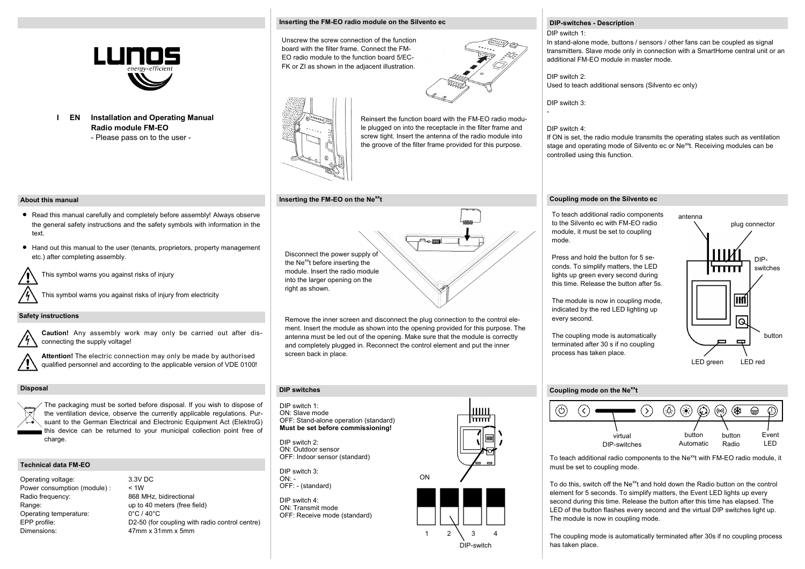

**Installation and Operating Manual I EN Radio module FM-EO** - Please pass on to the user -

#### **Inserting the FM-EO radio module on the Silvento ec**

Unscrew the screw connection of the function board with the filter frame. Connect the FM-EO radio module to the function board 5/EC-FK or ZI as shown in the adjacent illustration.



Reinsert the function board with the FM-EO radio module plugged on into the receptacle in the filter frame and screw tight. Insert the antenna of the radio module into the groove of the filter frame provided for this purpose.

#### **Inserting the FM-EO on the Nexxt**

# Disconnect the power supply of

the Ne<sup>xx</sup>t before inserting the module. Insert the radio module into the larger opening on the right as shown.

Remove the inner screen and disconnect the plug connection to the control element. Insert the module as shown into the opening provided for this purpose. The antenna must be led out of the opening. Make sure that the module is correctly and completely plugged in. Reconnect the control element and put the inner screen back in place.

#### **DIP switches**

DIP switch 1: ON: Slave mode OFF: Stand-alone operation (standard) **Must be set before commissioning!**

DIP switch 2: ON: Outdoor sensor OFF: Indoor sensor (standard)

DIP switch 3:  $ON: -$ OFF: - (standard)

DIP switch 4: ON: Transmit mode OFF: Receive mode (standard)



 $1 \quad 2 \quad 3 \quad 4$ 

DIP-switch

ШЩ

╦

ON

### **Coupling mode on the Silvento ec**

controlled using this function.

**DIP-switches - Description**

additional FM-EO module in master mode.

Used to teach additional sensors (Silvento ec only)

In stand-alone mode, buttons / sensors / other fans can be coupled as signal transmitters. Slave mode only in connection with a SmartHome central unit or an

If ON is set, the radio module transmits the operating states such as ventilation stage and operating mode of Silvento ec or Ne<sup>xx</sup>t. Receiving modules can be

DIP switch 1:

DIP switch 2:

DIP switch 3:

DIP switch 4:

-

To teach additional radio components to the Silvento ec with FM-EO radio module, it must be set to coupling mode.

Press and hold the button for 5 seconds. To simplify matters, the LED lights up green every second during this time. Release the button after 5s.

The module is now in coupling mode, indicated by the red LED lighting up every second.

The coupling mode is automatically terminated after 30 s if no coupling process has taken place.

## antenna plug connector DIPmm switches ାର button  $\blacksquare$ LED green LED red

#### **Coupling mode on the Nexxt**



To teach additional radio components to the Ne<sup>xx</sup>t with FM-EO radio module, it must be set to coupling mode.

To do this, switch off the Ne<sup>xx</sup>t and hold down the Radio button on the control element for 5 seconds. To simplify matters, the Event LED lights up every second during this time. Release the button after this time has elapsed. The LED of the button flashes every second and the virtual DIP switches light up. The module is now in coupling mode.

The coupling mode is automatically terminated after 30s if no coupling process has taken place.

#### **About this manual**

- Read this manual carefully and completely before assembly! Always observe the general safety instructions and the safety symbols with information in the text.
- Hand out this manual to the user (tenants, proprietors, property management etc.) after completing assembly.

This symbol warns you against risks of injury

This symbol warns you against risks of injury from electricity

#### **Safety instructions**

**Caution!** Any assembly work may only be carried out after disconnecting the supply voltage!



#### **Disposal**

The packaging must be sorted before disposal. If you wish to dispose of the ventilation device, observe the currently applicable regulations. Pursuant to the German Electrical and Electronic Equipment Act (ElektroG) this device can be returned to your municipal collection point free of charge.

#### **Technical data FM-EO**

- Operating voltage: 3.3V DC Power consumption (module) : < 1W Radio frequency: 868 MHz, bidirectional Range: Range: up to 40 meters (free field) Operating temperature: 0°C / 40°C Dimensions: 47mm x 31mm x 5mm
- EPP profile: D2-50 (for coupling with radio control centre)